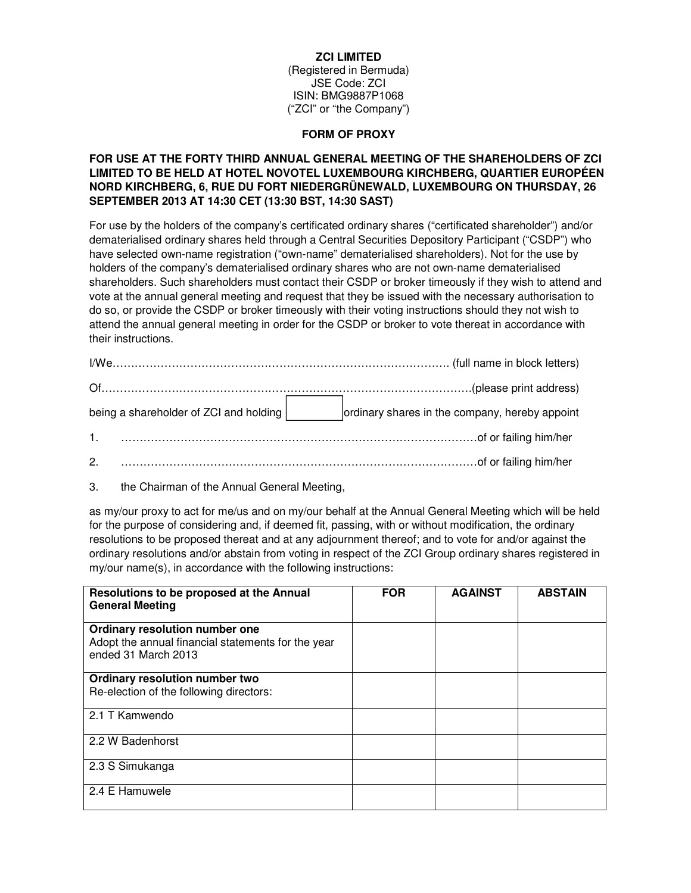### **ZCI LIMITED**

(Registered in Bermuda) JSE Code: ZCI ISIN: BMG9887P1068 ("ZCI" or "the Company")

#### **FORM OF PROXY**

# **FOR USE AT THE FORTY THIRD ANNUAL GENERAL MEETING OF THE SHAREHOLDERS OF ZCI LIMITED TO BE HELD AT HOTEL NOVOTEL LUXEMBOURG KIRCHBERG, QUARTIER EUROPÉEN NORD KIRCHBERG, 6, RUE DU FORT NIEDERGRÜNEWALD, LUXEMBOURG ON THURSDAY, 26 SEPTEMBER 2013 AT 14:30 CET (13:30 BST, 14:30 SAST)**

For use by the holders of the company's certificated ordinary shares ("certificated shareholder") and/or dematerialised ordinary shares held through a Central Securities Depository Participant ("CSDP") who have selected own-name registration ("own-name" dematerialised shareholders). Not for the use by holders of the company's dematerialised ordinary shares who are not own-name dematerialised shareholders. Such shareholders must contact their CSDP or broker timeously if they wish to attend and vote at the annual general meeting and request that they be issued with the necessary authorisation to do so, or provide the CSDP or broker timeously with their voting instructions should they not wish to attend the annual general meeting in order for the CSDP or broker to vote thereat in accordance with their instructions.

| being a shareholder of ZCI and holding | ordinary shares in the company, hereby appoint                                                                                                                                                                                 |
|----------------------------------------|--------------------------------------------------------------------------------------------------------------------------------------------------------------------------------------------------------------------------------|
| 1 <sup>1</sup>                         |                                                                                                                                                                                                                                |
| 2.                                     | of or failing him/her contains and contain an analysis of the contains and containing the containing the containing the contact of the contact of the contact of the contact of the contact of the contact of the contact of t |

3. the Chairman of the Annual General Meeting,

as my/our proxy to act for me/us and on my/our behalf at the Annual General Meeting which will be held for the purpose of considering and, if deemed fit, passing, with or without modification, the ordinary resolutions to be proposed thereat and at any adjournment thereof; and to vote for and/or against the ordinary resolutions and/or abstain from voting in respect of the ZCI Group ordinary shares registered in my/our name(s), in accordance with the following instructions:

| Resolutions to be proposed at the Annual<br><b>General Meeting</b>                                          | <b>FOR</b> | <b>AGAINST</b> | <b>ABSTAIN</b> |
|-------------------------------------------------------------------------------------------------------------|------------|----------------|----------------|
| Ordinary resolution number one<br>Adopt the annual financial statements for the year<br>ended 31 March 2013 |            |                |                |
| Ordinary resolution number two                                                                              |            |                |                |
| Re-election of the following directors:                                                                     |            |                |                |
| 2.1 T Kamwendo                                                                                              |            |                |                |
| 2.2 W Badenhorst                                                                                            |            |                |                |
| 2.3 S Simukanga                                                                                             |            |                |                |
| 2.4 E Hamuwele                                                                                              |            |                |                |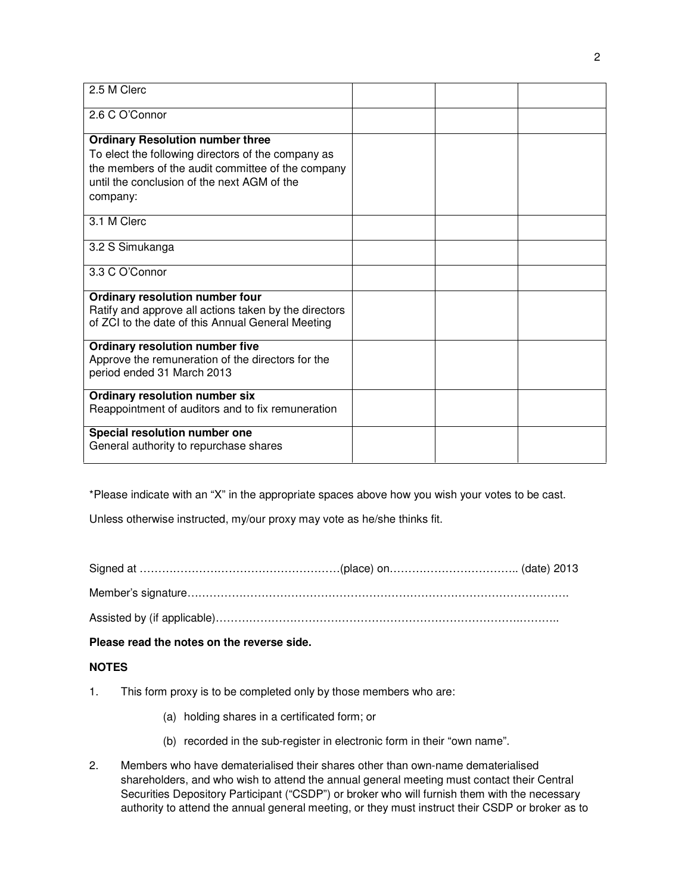| 2.5 M Clerc                                                                                                                                                                                                   |  |  |
|---------------------------------------------------------------------------------------------------------------------------------------------------------------------------------------------------------------|--|--|
| 2.6 C O'Connor                                                                                                                                                                                                |  |  |
| <b>Ordinary Resolution number three</b><br>To elect the following directors of the company as<br>the members of the audit committee of the company<br>until the conclusion of the next AGM of the<br>company: |  |  |
| 3.1 M Clerc                                                                                                                                                                                                   |  |  |
| 3.2 S Simukanga                                                                                                                                                                                               |  |  |
| 3.3 C O'Connor                                                                                                                                                                                                |  |  |
| Ordinary resolution number four<br>Ratify and approve all actions taken by the directors<br>of ZCI to the date of this Annual General Meeting                                                                 |  |  |
| Ordinary resolution number five<br>Approve the remuneration of the directors for the<br>period ended 31 March 2013                                                                                            |  |  |
| Ordinary resolution number six<br>Reappointment of auditors and to fix remuneration                                                                                                                           |  |  |
| Special resolution number one<br>General authority to repurchase shares                                                                                                                                       |  |  |

\*Please indicate with an "X" in the appropriate spaces above how you wish your votes to be cast.

Unless otherwise instructed, my/our proxy may vote as he/she thinks fit.

Signed at ………………………………………………(place) on…………………………….. (date) 2013

Member's signature………………………………………………………………………………………….

Assisted by (if applicable)……………………………………………………………………….………..

**Please read the notes on the reverse side.** 

# **NOTES**

- 1. This form proxy is to be completed only by those members who are:
	- (a) holding shares in a certificated form; or
	- (b) recorded in the sub-register in electronic form in their "own name".
- 2. Members who have dematerialised their shares other than own-name dematerialised shareholders, and who wish to attend the annual general meeting must contact their Central Securities Depository Participant ("CSDP") or broker who will furnish them with the necessary authority to attend the annual general meeting, or they must instruct their CSDP or broker as to